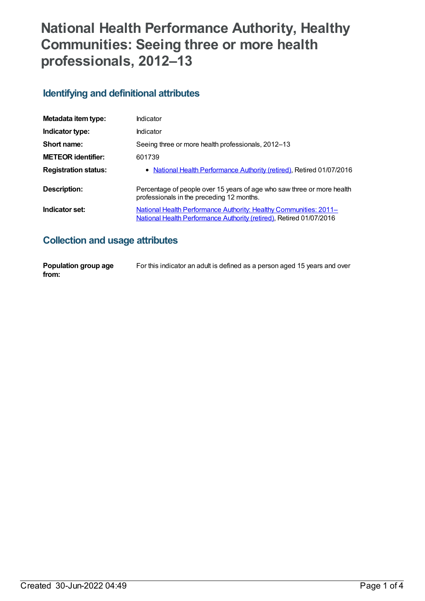# **National Health Performance Authority, Healthy Communities: Seeing three or more health professionals, 2012–13**

#### **Identifying and definitional attributes**

| Metadata item type:         | Indicator                                                                                                                                |
|-----------------------------|------------------------------------------------------------------------------------------------------------------------------------------|
| Indicator type:             | Indicator                                                                                                                                |
| Short name:                 | Seeing three or more health professionals, 2012–13                                                                                       |
| <b>METEOR identifier:</b>   | 601739                                                                                                                                   |
| <b>Registration status:</b> | • National Health Performance Authority (retired), Retired 01/07/2016                                                                    |
| Description:                | Percentage of people over 15 years of age who saw three or more health<br>professionals in the preceding 12 months.                      |
| Indicator set:              | National Health Performance Authority: Healthy Communities: 2011-<br>National Health Performance Authority (retired), Retired 01/07/2016 |

## **Collection and usage attributes**

| Population group age | For this indicator an adult is defined as a person aged 15 years and over |
|----------------------|---------------------------------------------------------------------------|
| from:                |                                                                           |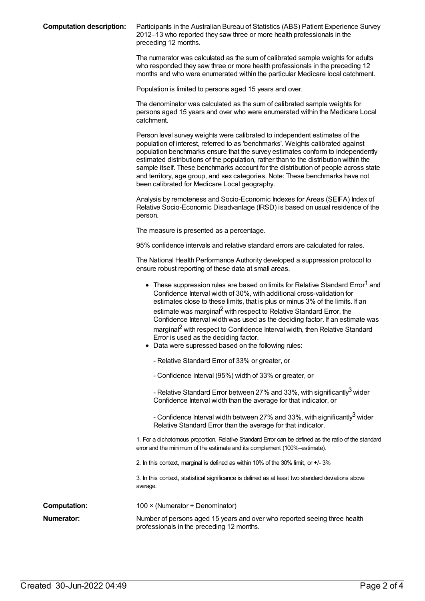**Computation description:** Participants in the Australian Bureau of Statistics (ABS) Patient Experience Survey 2012–13 who reported they saw three or more health professionals in the preceding 12 months.

> The numerator was calculated as the sum of calibrated sample weights for adults who responded they saw three or more health professionals in the preceding 12 months and who were enumerated within the particular Medicare local catchment.

Population is limited to persons aged 15 years and over.

The denominator was calculated as the sum of calibrated sample weights for persons aged 15 years and over who were enumerated within the Medicare Local catchment.

Person level survey weights were calibrated to independent estimates of the population of interest, referred to as 'benchmarks'. Weights calibrated against population benchmarks ensure that the survey estimates conform to independently estimated distributions of the population, rather than to the distribution within the sample itself. These benchmarks account for the distribution of people across state and territory, age group, and sex categories. Note: These benchmarks have not been calibrated for Medicare Local geography.

Analysis by remoteness and Socio-Economic Indexes for Areas (SEIFA) Index of Relative Socio-Economic Disadvantage (IRSD) is based on usual residence of the person.

The measure is presented as a percentage.

95% confidence intervals and relative standard errors are calculated for rates.

The National Health Performance Authority developed a suppression protocol to ensure robust reporting of these data at small areas.

| • These suppression rules are based on limits for Relative Standard Error <sup>1</sup> and<br>Confidence Interval width of 30%, with additional cross-validation for<br>estimates close to these limits, that is plus or minus 3% of the limits. If an<br>estimate was marginal <sup>2</sup> with respect to Relative Standard Error, the<br>Confidence Interval width was used as the deciding factor. If an estimate was<br>marginal <sup>2</sup> with respect to Confidence Interval width, then Relative Standard<br>Error is used as the deciding factor. |
|----------------------------------------------------------------------------------------------------------------------------------------------------------------------------------------------------------------------------------------------------------------------------------------------------------------------------------------------------------------------------------------------------------------------------------------------------------------------------------------------------------------------------------------------------------------|
| • Data were supressed based on the following rules:                                                                                                                                                                                                                                                                                                                                                                                                                                                                                                            |

- Relative Standard Error of 33% or greater, or
- Confidence Interval (95%) width of 33% or greater, or

- Relative Standard Error between 27% and 33%, with significantly<sup>3</sup> wider Confidence Interval width than the average for that indicator, or

- Confidence Interval width between 27% and 33%, with significantly $^3$  wider Relative Standard Error than the average for that indicator.

1. For a dichotomous proportion, Relative Standard Error can be defined as the ratio of the standard error and the minimum of the estimate and its complement (100%–estimate).

2. In this context, marginal is defined as within 10% of the 30% limit, or +/- 3%

3. In this context, statistical significance is defined as at least two standard deviations above average.

| Computation: | 100 $\times$ (Numerator ÷ Denominator)                                                             |
|--------------|----------------------------------------------------------------------------------------------------|
| Numerator:   | Number of persons aged 15 years and over who reported<br>professionals in the preceding 12 months. |

seeing three health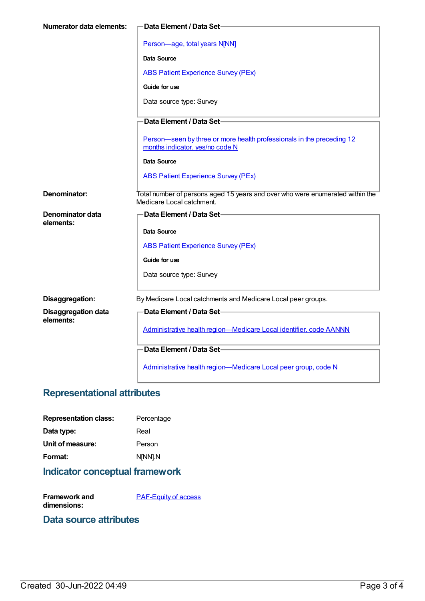| Numerator data elements:      | Data Element / Data Set-                                                                                 |
|-------------------------------|----------------------------------------------------------------------------------------------------------|
|                               |                                                                                                          |
|                               | Person-age, total years N[NN]                                                                            |
|                               | Data Source                                                                                              |
|                               | <b>ABS Patient Experience Survey (PEx)</b>                                                               |
|                               | Guide for use                                                                                            |
|                               | Data source type: Survey                                                                                 |
|                               | Data Element / Data Set-                                                                                 |
|                               |                                                                                                          |
|                               | Person-seen by three or more health professionals in the preceding 12<br>months indicator, yes/no code N |
|                               | Data Source                                                                                              |
|                               | <b>ABS Patient Experience Survey (PEx)</b>                                                               |
|                               |                                                                                                          |
| Denominator:                  | Total number of persons aged 15 years and over who were enumerated within the                            |
|                               | Medicare Local catchment.                                                                                |
| Denominator data<br>elements: | <b>Data Element / Data Set-</b>                                                                          |
|                               | Data Source                                                                                              |
|                               | <b>ABS Patient Experience Survey (PEx)</b>                                                               |
|                               | Guide for use                                                                                            |
|                               | Data source type: Survey                                                                                 |
|                               |                                                                                                          |
| Disaggregation:               | By Medicare Local catchments and Medicare Local peer groups.                                             |
| <b>Disaggregation data</b>    | Data Element / Data Set-                                                                                 |
| elements:                     | Administrative health region-Medicare Local identifier, code AANNN                                       |
|                               | Data Element / Data Set-                                                                                 |
|                               |                                                                                                          |
|                               | Administrative health region-Medicare Local peer group, code N                                           |

#### **Representational attributes**

| <b>Representation class:</b> | Percentage |
|------------------------------|------------|
| Data type:                   | Real       |
| Unit of measure:             | Person     |
| Format:                      | N[NN].N    |
|                              |            |

## **Indicator conceptual framework**

**Framework and dimensions: [PAF-Equity](https://meteor.aihw.gov.au/content/554927) of access** 

#### **Data source attributes**